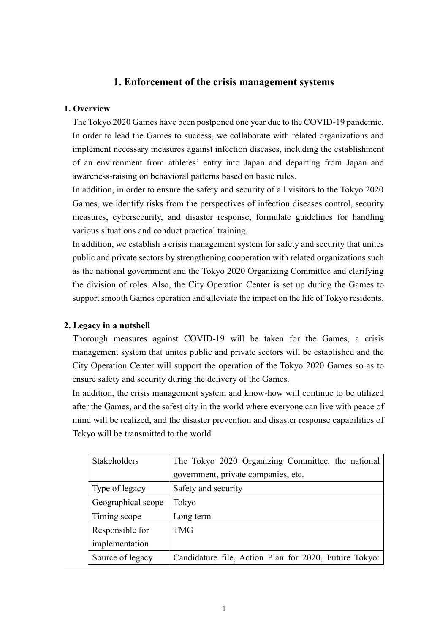# **1. Enforcement of the crisis management systems**

## **1. Overview**

The Tokyo 2020 Games have been postponed one year due to the COVID-19 pandemic. In order to lead the Games to success, we collaborate with related organizations and implement necessary measures against infection diseases, including the establishment of an environment from athletes' entry into Japan and departing from Japan and awareness-raising on behavioral patterns based on basic rules.

In addition, in order to ensure the safety and security of all visitors to the Tokyo 2020 Games, we identify risks from the perspectives of infection diseases control, security measures, cybersecurity, and disaster response, formulate guidelines for handling various situations and conduct practical training.

In addition, we establish a crisis management system for safety and security that unites public and private sectors by strengthening cooperation with related organizations such as the national government and the Tokyo 2020 Organizing Committee and clarifying the division of roles. Also, the City Operation Center is set up during the Games to support smooth Games operation and alleviate the impact on the life of Tokyo residents.

#### **2. Legacy in a nutshell**

Thorough measures against COVID-19 will be taken for the Games, a crisis management system that unites public and private sectors will be established and the City Operation Center will support the operation of the Tokyo 2020 Games so as to ensure safety and security during the delivery of the Games.

In addition, the crisis management system and know-how will continue to be utilized after the Games, and the safest city in the world where everyone can live with peace of mind will be realized, and the disaster prevention and disaster response capabilities of Tokyo will be transmitted to the world.

| Stakeholders       | The Tokyo 2020 Organizing Committee, the national     |
|--------------------|-------------------------------------------------------|
|                    | government, private companies, etc.                   |
| Type of legacy     | Safety and security                                   |
| Geographical scope | Tokyo                                                 |
| Timing scope       | Long term                                             |
| Responsible for    | <b>TMG</b>                                            |
| implementation     |                                                       |
| Source of legacy   | Candidature file, Action Plan for 2020, Future Tokyo: |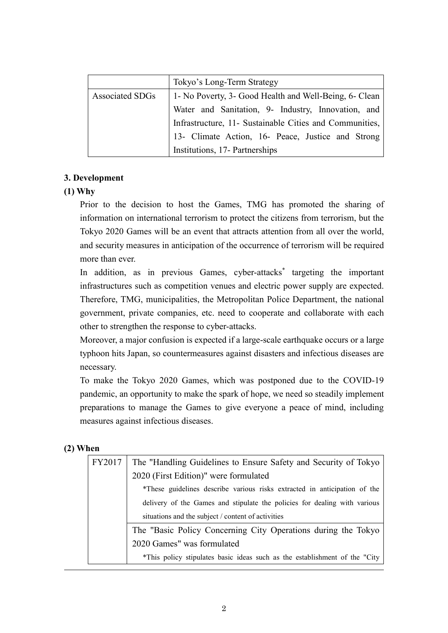|                 | Tokyo's Long-Term Strategy                              |
|-----------------|---------------------------------------------------------|
| Associated SDGs | 1 - No Poverty, 3- Good Health and Well-Being, 6- Clean |
|                 | Water and Sanitation, 9- Industry, Innovation, and      |
|                 | Infrastructure, 11- Sustainable Cities and Communities, |
|                 | 13- Climate Action, 16- Peace, Justice and Strong       |
|                 | Institutions, 17- Partnerships                          |

# **3. Development**

# **(1) Why**

Prior to the decision to host the Games, TMG has promoted the sharing of information on international terrorism to protect the citizens from terrorism, but the Tokyo 2020 Games will be an event that attracts attention from all over the world, and security measures in anticipation of the occurrence of terrorism will be required more than ever.

In addition, as in previous Games, cyber-attacks\* targeting the important infrastructures such as competition venues and electric power supply are expected. Therefore, TMG, municipalities, the Metropolitan Police Department, the national government, private companies, etc. need to cooperate and collaborate with each other to strengthen the response to cyber-attacks.

Moreover, a major confusion is expected if a large-scale earthquake occurs or a large typhoon hits Japan, so countermeasures against disasters and infectious diseases are necessary.

To make the Tokyo 2020 Games, which was postponed due to the COVID-19 pandemic, an opportunity to make the spark of hope, we need so steadily implement preparations to manage the Games to give everyone a peace of mind, including measures against infectious diseases.

# **(2) When**

| FY2017 | The "Handling Guidelines to Ensure Safety and Security of Tokyo             |  |
|--------|-----------------------------------------------------------------------------|--|
|        | 2020 (First Edition)" were formulated                                       |  |
|        | *These guidelines describe various risks extracted in anticipation of the   |  |
|        | delivery of the Games and stipulate the policies for dealing with various   |  |
|        | situations and the subject / content of activities                          |  |
|        | The "Basic Policy Concerning City Operations during the Tokyo               |  |
|        | 2020 Games" was formulated                                                  |  |
|        | *This policy stipulates basic ideas such as the establishment of the "City" |  |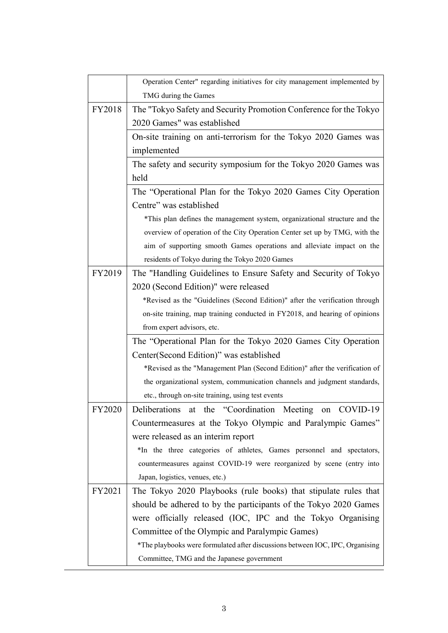|        | Operation Center" regarding initiatives for city management implemented by    |  |
|--------|-------------------------------------------------------------------------------|--|
|        | TMG during the Games                                                          |  |
| FY2018 | The "Tokyo Safety and Security Promotion Conference for the Tokyo             |  |
|        | 2020 Games" was established                                                   |  |
|        | On-site training on anti-terrorism for the Tokyo 2020 Games was               |  |
|        | implemented                                                                   |  |
|        | The safety and security symposium for the Tokyo 2020 Games was                |  |
|        | held                                                                          |  |
|        | The "Operational Plan for the Tokyo 2020 Games City Operation                 |  |
|        | Centre" was established                                                       |  |
|        | *This plan defines the management system, organizational structure and the    |  |
|        | overview of operation of the City Operation Center set up by TMG, with the    |  |
|        | aim of supporting smooth Games operations and alleviate impact on the         |  |
|        | residents of Tokyo during the Tokyo 2020 Games                                |  |
| FY2019 | The "Handling Guidelines to Ensure Safety and Security of Tokyo               |  |
|        | 2020 (Second Edition)" were released                                          |  |
|        | *Revised as the "Guidelines (Second Edition)" after the verification through  |  |
|        | on-site training, map training conducted in FY2018, and hearing of opinions   |  |
|        | from expert advisors, etc.                                                    |  |
|        | The "Operational Plan for the Tokyo 2020 Games City Operation                 |  |
|        | Center(Second Edition)" was established                                       |  |
|        | *Revised as the "Management Plan (Second Edition)" after the verification of  |  |
|        | the organizational system, communication channels and judgment standards,     |  |
|        | etc., through on-site training, using test events                             |  |
| FY2020 | Deliberations at the "Coordination Meeting on COVID-19                        |  |
|        | Countermeasures at the Tokyo Olympic and Paralympic Games"                    |  |
|        | were released as an interim report                                            |  |
|        | *In the three categories of athletes, Games personnel and spectators,         |  |
|        | countermeasures against COVID-19 were reorganized by scene (entry into        |  |
|        | Japan, logistics, venues, etc.)                                               |  |
| FY2021 | The Tokyo 2020 Playbooks (rule books) that stipulate rules that               |  |
|        | should be adhered to by the participants of the Tokyo 2020 Games              |  |
|        | were officially released (IOC, IPC and the Tokyo Organising                   |  |
|        | Committee of the Olympic and Paralympic Games)                                |  |
|        | *The playbooks were formulated after discussions between IOC, IPC, Organising |  |
|        | Committee, TMG and the Japanese government                                    |  |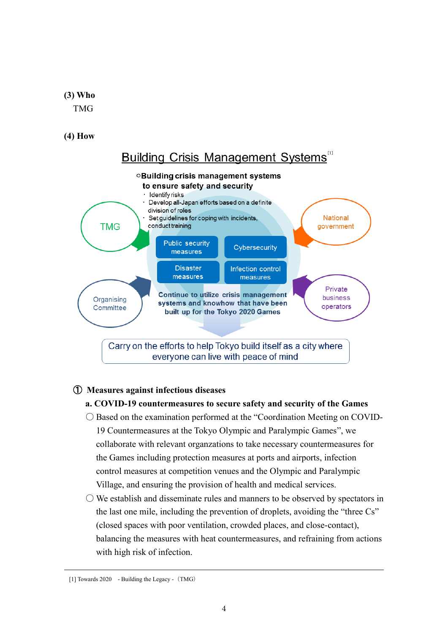**(3) Who**

TMG

**(4) How**



# ① **Measures against infectious diseases**

## **a. COVID-19 countermeasures to secure safety and security of the Games**

- Based on the examination performed at the "Coordination Meeting on COVID-19 Countermeasures at the Tokyo Olympic and Paralympic Games", we collaborate with relevant organzations to take necessary countermeasures for the Games including protection measures at ports and airports, infection control measures at competition venues and the Olympic and Paralympic Village, and ensuring the provision of health and medical services.
- $\bigcirc$  We establish and disseminate rules and manners to be observed by spectators in the last one mile, including the prevention of droplets, avoiding the "three Cs" (closed spaces with poor ventilation, crowded places, and close-contact), balancing the measures with heat countermeasures, and refraining from actions with high risk of infection.

<sup>[1]</sup> Towards 2020 - Building the Legacy - (TMG)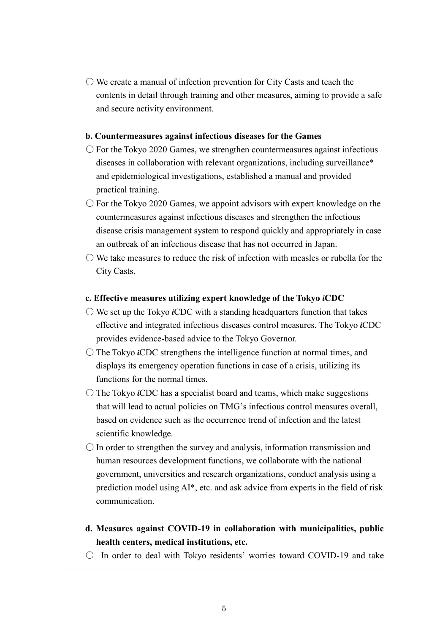$\bigcirc$  We create a manual of infection prevention for City Casts and teach the contents in detail through training and other measures, aiming to provide a safe and secure activity environment.

#### **b. Countermeasures against infectious diseases for the Games**

- $\circ$  For the Tokyo 2020 Games, we strengthen countermeasures against infectious diseases in collaboration with relevant organizations, including surveillance\* and epidemiological investigations, established a manual and provided practical training.
- $\circ$  For the Tokyo 2020 Games, we appoint advisors with expert knowledge on the countermeasures against infectious diseases and strengthen the infectious disease crisis management system to respond quickly and appropriately in case an outbreak of an infectious disease that has not occurred in Japan.
- $\bigcirc$  We take measures to reduce the risk of infection with measles or rubella for the City Casts.

#### **c. Effective measures utilizing expert knowledge of the Tokyo iCDC**

- We set up the Tokyo *i*CDC with a standing headquarters function that takes effective and integrated infectious diseases control measures. The Tokyo **i**CDC provides evidence-based advice to the Tokyo Governor.
- The Tokyo **i**CDC strengthens the intelligence function at normal times, and displays its emergency operation functions in case of a crisis, utilizing its functions for the normal times.
- The Tokyo **i**CDC has a specialist board and teams, which make suggestions that will lead to actual policies on TMG's infectious control measures overall, based on evidence such as the occurrence trend of infection and the latest scientific knowledge.
- $\bigcirc$  In order to strengthen the survey and analysis, information transmission and human resources development functions, we collaborate with the national government, universities and research organizations, conduct analysis using a prediction model using AI\*, etc. and ask advice from experts in the field of risk communication.
- **d. Measures against COVID-19 in collaboration with municipalities, public health centers, medical institutions, etc.**
- In order to deal with Tokyo residents' worries toward COVID-19 and take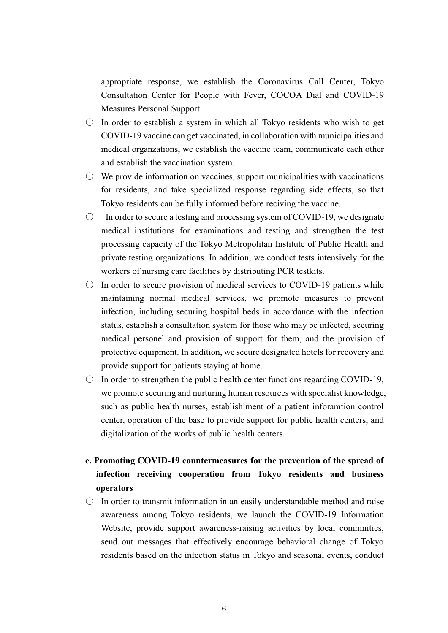appropriate response, we establish the Coronavirus Call Center, Tokyo Consultation Center for People with Fever, COCOA Dial and COVID-19 Measures Personal Support.

- $\circ$  In order to establish a system in which all Tokyo residents who wish to get COVID-19 vaccine can get vaccinated, in collaboration with municipalities and medical organzations, we establish the vaccine team, communicate each other and establish the vaccination system.
- $\circ$  We provide information on vaccines, support municipalities with vaccinations for residents, and take specialized response regarding side effects, so that Tokyo residents can be fully informed before reciving the vaccine.
- $\circ$  In order to secure a testing and processing system of COVID-19, we designate medical institutions for examinations and testing and strengthen the test processing capacity of the Tokyo Metropolitan Institute of Public Health and private testing organizations. In addition, we conduct tests intensively for the workers of nursing care facilities by distributing PCR testkits.
- $\circ$  In order to secure provision of medical services to COVID-19 patients while maintaining normal medical services, we promote measures to prevent infection, including securing hospital beds in accordance with the infection status, establish a consultation system for those who may be infected, securing medical personel and provision of support for them, and the provision of protective equipment. In addition, we secure designated hotels for recovery and provide support for patients staying at home.
- $\circ$  In order to strengthen the public health center functions regarding COVID-19, we promote securing and nurturing human resources with specialist knowledge, such as public health nurses, establishiment of a patient inforamtion control center, operation of the base to provide support for public health centers, and digitalization of the works of public health centers.
- **e. Promoting COVID-19 countermeasures for the prevention of the spread of infection receiving cooperation from Tokyo residents and business operators**
- $\circ$  In order to transmit information in an easily understandable method and raise awareness among Tokyo residents, we launch the COVID-19 Information Website, provide support awareness-raising activities by local commnities, send out messages that effectively encourage behavioral change of Tokyo residents based on the infection status in Tokyo and seasonal events, conduct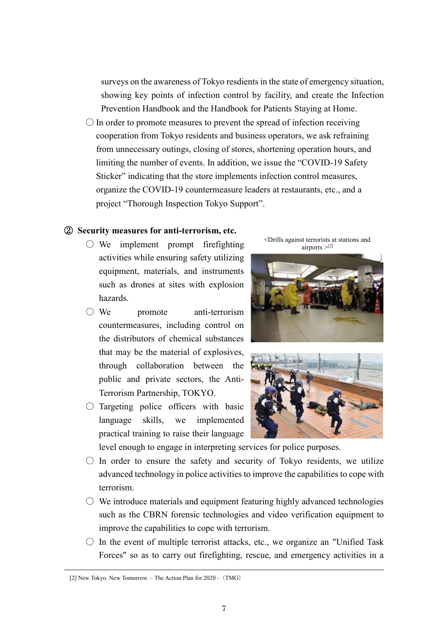surveys on the awareness of Tokyo resdients in the state of emergency situation, showing key points of infection control by facility, and create the Infection Prevention Handbook and the Handbook for Patients Staying at Home.

 $\bigcirc$  In order to promote measures to prevent the spread of infection receiving cooperation from Tokyo residents and business operators, we ask refraining from unnecessary outings, closing of stores, shortening operation hours, and limiting the number of events. In addition, we issue the "COVID-19 Safety Sticker" indicating that the store implements infection control measures, organize the COVID-19 countermeasure leaders at restaurants, etc., and a project "Thorough Inspection Tokyo Support".

#### ② **Security measures for anti-terrorism, etc.**

- $\bigcirc$  We implement prompt firefighting activities while ensuring safety utilizing equipment, materials, and instruments such as drones at sites with explosion hazards.
- We promote anti-terrorism countermeasures, including control on the distributors of chemical substances that may be the material of explosives, through collaboration between the public and private sectors, the Anti-Terrorism Partnership, TOKYO.
- $\bigcirc$  Targeting police officers with basic language skills, we implemented practical training to raise their language



<Drills against terrorists at stations and





level enough to engage in interpreting services for police purposes.

- $\bigcirc$  In order to ensure the safety and security of Tokyo residents, we utilize advanced technology in police activities to improve the capabilities to cope with terrorism.
- $\bigcirc$  We introduce materials and equipment featuring highly advanced technologies such as the CBRN forensic technologies and video verification equipment to improve the capabilities to cope with terrorism.
- $\circ$  In the event of multiple terrorist attacks, etc., we organize an "Unified Task" Forces" so as to carry out firefighting, rescue, and emergency activities in a

<sup>[2]</sup> New Tokyo. New Tomorrow. – The Action Plan for 2020 - (TMG)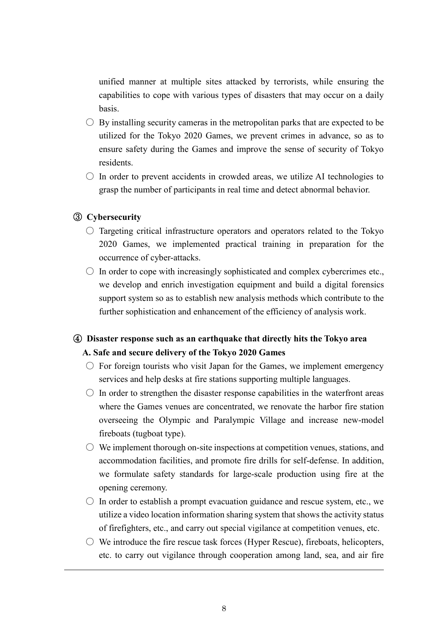unified manner at multiple sites attacked by terrorists, while ensuring the capabilities to cope with various types of disasters that may occur on a daily basis.

- $\circ$  By installing security cameras in the metropolitan parks that are expected to be utilized for the Tokyo 2020 Games, we prevent crimes in advance, so as to ensure safety during the Games and improve the sense of security of Tokyo residents.
- $\circ$  In order to prevent accidents in crowded areas, we utilize AI technologies to grasp the number of participants in real time and detect abnormal behavior.

## ③ **Cybersecurity**

- $\circ$  Targeting critical infrastructure operators and operators related to the Tokyo 2020 Games, we implemented practical training in preparation for the occurrence of cyber-attacks.
- $\circ$  In order to cope with increasingly sophisticated and complex cybercrimes etc., we develop and enrich investigation equipment and build a digital forensics support system so as to establish new analysis methods which contribute to the further sophistication and enhancement of the efficiency of analysis work.

# ④ **Disaster response such as an earthquake that directly hits the Tokyo area A. Safe and secure delivery of the Tokyo 2020 Games**

- $\circ$  For foreign tourists who visit Japan for the Games, we implement emergency services and help desks at fire stations supporting multiple languages.
- $\circ$  In order to strengthen the disaster response capabilities in the waterfront areas where the Games venues are concentrated, we renovate the harbor fire station overseeing the Olympic and Paralympic Village and increase new-model fireboats (tugboat type).
- $\circlearrowright$  We implement thorough on-site inspections at competition venues, stations, and accommodation facilities, and promote fire drills for self-defense. In addition, we formulate safety standards for large-scale production using fire at the opening ceremony.
- $\circ$  In order to establish a prompt evacuation guidance and rescue system, etc., we utilize a video location information sharing system that shows the activity status of firefighters, etc., and carry out special vigilance at competition venues, etc.
- $\circlearrowright$  We introduce the fire rescue task forces (Hyper Rescue), fireboats, helicopters, etc. to carry out vigilance through cooperation among land, sea, and air fire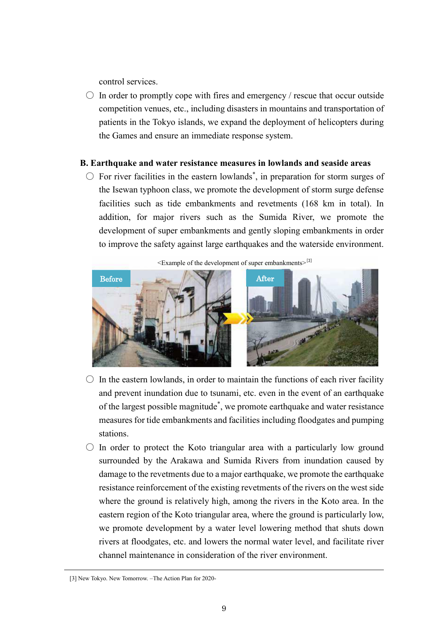control services.

 $\circ$  In order to promptly cope with fires and emergency / rescue that occur outside competition venues, etc., including disasters in mountains and transportation of patients in the Tokyo islands, we expand the deployment of helicopters during the Games and ensure an immediate response system.

## **B. Earthquake and water resistance measures in lowlands and seaside areas**

 $\circlearrowright$  For river facilities in the eastern lowlands<sup>\*</sup>, in preparation for storm surges of the Isewan typhoon class, we promote the development of storm surge defense facilities such as tide embankments and revetments (168 km in total). In addition, for major rivers such as the Sumida River, we promote the development of super embankments and gently sloping embankments in order to improve the safety against large earthquakes and the waterside environment.

 $\leq$ Example of the development of super embankments $>$ [3]



- $\circ$  In the eastern lowlands, in order to maintain the functions of each river facility and prevent inundation due to tsunami, etc. even in the event of an earthquake of the largest possible magnitude\* , we promote earthquake and water resistance measures for tide embankments and facilities including floodgates and pumping stations.
- $\circ$  In order to protect the Koto triangular area with a particularly low ground surrounded by the Arakawa and Sumida Rivers from inundation caused by damage to the revetments due to a major earthquake, we promote the earthquake resistance reinforcement of the existing revetments of the rivers on the west side where the ground is relatively high, among the rivers in the Koto area. In the eastern region of the Koto triangular area, where the ground is particularly low, we promote development by a water level lowering method that shuts down rivers at floodgates, etc. and lowers the normal water level, and facilitate river channel maintenance in consideration of the river environment.

<sup>[3]</sup> New Tokyo. New Tomorrow. –The Action Plan for 2020-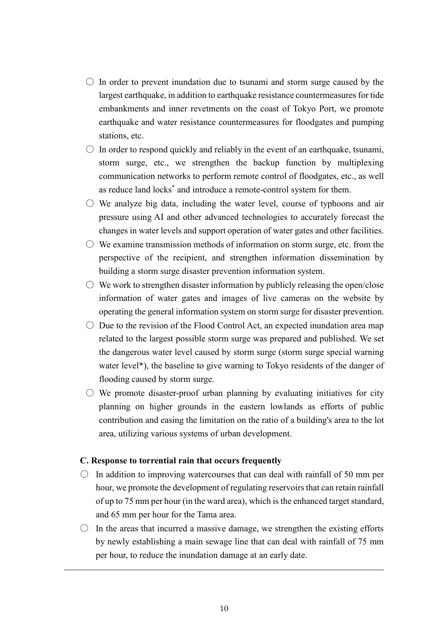- $\circ$  In order to prevent inundation due to tsunami and storm surge caused by the largest earthquake, in addition to earthquake resistance countermeasures for tide embankments and inner revetments on the coast of Tokyo Port, we promote earthquake and water resistance countermeasures for floodgates and pumping stations, etc.
- $\circ$  In order to respond quickly and reliably in the event of an earthquake, tsunami, storm surge, etc., we strengthen the backup function by multiplexing communication networks to perform remote control of floodgates, etc., as well as reduce land locks\* and introduce a remote-control system for them.
- $\circ$  We analyze big data, including the water level, course of typhoons and air pressure using AI and other advanced technologies to accurately forecast the changes in water levels and support operation of water gates and other facilities.
- $\circ$  We examine transmission methods of information on storm surge, etc. from the perspective of the recipient, and strengthen information dissemination by building a storm surge disaster prevention information system.
- $\circlearrowright$  We work to strengthen disaster information by publicly releasing the open/close information of water gates and images of live cameras on the website by operating the general information system on storm surge for disaster prevention.
- $\circ$  Due to the revision of the Flood Control Act, an expected inundation area map related to the largest possible storm surge was prepared and published. We set the dangerous water level caused by storm surge (storm surge special warning water level\*), the baseline to give warning to Tokyo residents of the danger of flooding caused by storm surge.
- $\circ$  We promote disaster-proof urban planning by evaluating initiatives for city planning on higher grounds in the eastern lowlands as efforts of public contribution and easing the limitation on the ratio of a building's area to the lot area, utilizing various systems of urban development.

#### **C. Response to torrential rain that occurs frequently**

- $\circ$  In addition to improving watercourses that can deal with rainfall of 50 mm per hour, we promote the development of regulating reservoirs that can retain rainfall of up to 75 mm per hour (in the ward area), which is the enhanced target standard, and 65 mm per hour for the Tama area.
- $\circ$  In the areas that incurred a massive damage, we strengthen the existing efforts by newly establishing a main sewage line that can deal with rainfall of 75 mm per hour, to reduce the inundation damage at an early date.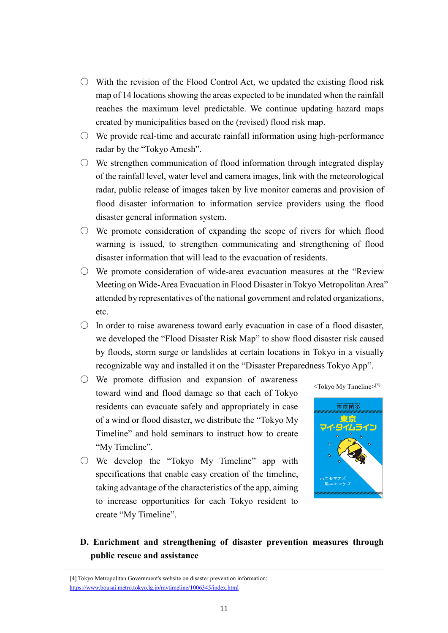- $\circ$  With the revision of the Flood Control Act, we updated the existing flood risk map of 14 locations showing the areas expected to be inundated when the rainfall reaches the maximum level predictable. We continue updating hazard maps created by municipalities based on the (revised) flood risk map.
- $\circ$  We provide real-time and accurate rainfall information using high-performance radar by the "Tokyo Amesh".
- $\circlearrowright$  We strengthen communication of flood information through integrated display of the rainfall level, water level and camera images, link with the meteorological radar, public release of images taken by live monitor cameras and provision of flood disaster information to information service providers using the flood disaster general information system.
- $\circlearrowright$  We promote consideration of expanding the scope of rivers for which flood warning is issued, to strengthen communicating and strengthening of flood disaster information that will lead to the evacuation of residents.
- We promote consideration of wide-area evacuation measures at the "Review Meeting on Wide-Area Evacuation in Flood Disaster in Tokyo Metropolitan Area" attended by representatives of the national government and related organizations, etc.
- $\circ$  In order to raise awareness toward early evacuation in case of a flood disaster, we developed the "Flood Disaster Risk Map" to show flood disaster risk caused by floods, storm surge or landslides at certain locations in Tokyo in a visually recognizable way and installed it on the "Disaster Preparedness Tokyo App".
- $\circlearrowright$  We promote diffusion and expansion of awareness toward wind and flood damage so that each of Tokyo residents can evacuate safely and appropriately in case of a wind or flood disaster, we distribute the "Tokyo My Timeline" and hold seminars to instruct how to create "My Timeline".
- $\circ$  We develop the "Tokyo My Timeline" app with specifications that enable easy creation of the timeline, taking advantage of the characteristics of the app, aiming to increase opportunities for each Tokyo resident to create "My Timeline".





**D. Enrichment and strengthening of disaster prevention measures through public rescue and assistance**

<sup>[4]</sup> Tokyo Metropolitan Government's website on disaster prevention information: <https://www.bousai.metro.tokyo.lg.jp/mytimeline/1006345/index.html>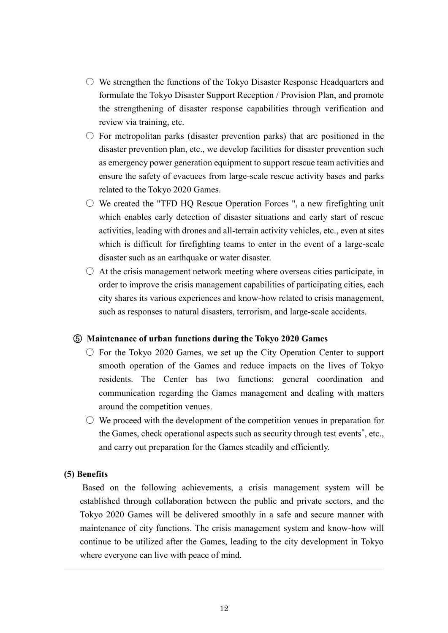- $\circlearrowright$  We strengthen the functions of the Tokyo Disaster Response Headquarters and formulate the Tokyo Disaster Support Reception / Provision Plan, and promote the strengthening of disaster response capabilities through verification and review via training, etc.
- $\circ$  For metropolitan parks (disaster prevention parks) that are positioned in the disaster prevention plan, etc., we develop facilities for disaster prevention such as emergency power generation equipment to support rescue team activities and ensure the safety of evacuees from large-scale rescue activity bases and parks related to the Tokyo 2020 Games.
- $\circ$  We created the "TFD HQ Rescue Operation Forces ", a new firefighting unit which enables early detection of disaster situations and early start of rescue activities, leading with drones and all-terrain activity vehicles, etc., even at sites which is difficult for firefighting teams to enter in the event of a large-scale disaster such as an earthquake or water disaster.
- $\circ$  At the crisis management network meeting where overseas cities participate, in order to improve the crisis management capabilities of participating cities, each city shares its various experiences and know-how related to crisis management, such as responses to natural disasters, terrorism, and large-scale accidents.

## ⑤ **Maintenance of urban functions during the Tokyo 2020 Games**

- $\circ$  For the Tokyo 2020 Games, we set up the City Operation Center to support smooth operation of the Games and reduce impacts on the lives of Tokyo residents. The Center has two functions: general coordination and communication regarding the Games management and dealing with matters around the competition venues.
- $\circlearrowright$  We proceed with the development of the competition venues in preparation for the Games, check operational aspects such as security through test events<sup>\*</sup>, etc., and carry out preparation for the Games steadily and efficiently.

#### **(5) Benefits**

Based on the following achievements, a crisis management system will be established through collaboration between the public and private sectors, and the Tokyo 2020 Games will be delivered smoothly in a safe and secure manner with maintenance of city functions. The crisis management system and know-how will continue to be utilized after the Games, leading to the city development in Tokyo where everyone can live with peace of mind.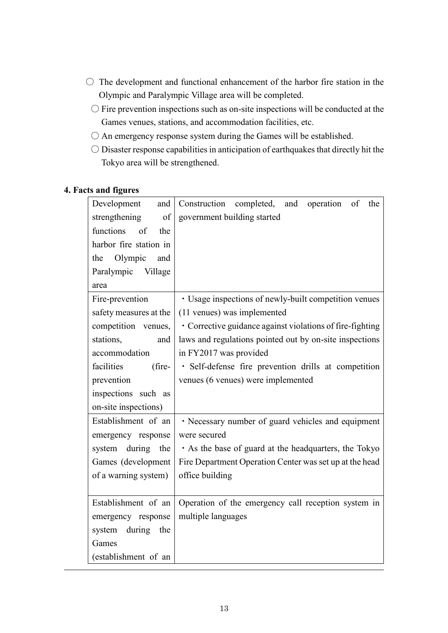- $\bigcirc$  The development and functional enhancement of the harbor fire station in the Olympic and Paralympic Village area will be completed.
	- $\bigcirc$  Fire prevention inspections such as on-site inspections will be conducted at the Games venues, stations, and accommodation facilities, etc.
	- $\bigcirc$  An emergency response system during the Games will be established.
	- Disaster response capabilities in anticipation of earthquakes that directly hit the Tokyo area will be strengthened.

## **4. Facts and figures**

| Development<br>and<br>strengthening<br>of | Construction completed, and operation of<br>the<br>government building started |
|-------------------------------------------|--------------------------------------------------------------------------------|
| functions<br>of<br>the                    |                                                                                |
| harbor fire station in                    |                                                                                |
| the Olympic<br>and                        |                                                                                |
| Paralympic<br>Village                     |                                                                                |
| area                                      |                                                                                |
| Fire-prevention                           | · Usage inspections of newly-built competition venues                          |
| safety measures at the                    | (11 venues) was implemented                                                    |
| competition venues,                       | • Corrective guidance against violations of fire-fighting                      |
| stations,<br>and                          | laws and regulations pointed out by on-site inspections                        |
| accommodation                             | in FY2017 was provided                                                         |
| facilities<br>(fire-                      | · Self-defense fire prevention drills at competition                           |
| prevention                                | venues (6 venues) were implemented                                             |
| inspections such as                       |                                                                                |
| on-site inspections)                      |                                                                                |
| Establishment of an                       | · Necessary number of guard vehicles and equipment                             |
| emergency response                        | were secured                                                                   |
| during the<br>system                      | • As the base of guard at the headquarters, the Tokyo                          |
| Games (development                        | Fire Department Operation Center was set up at the head                        |
| of a warning system)                      | office building                                                                |
|                                           |                                                                                |
| Establishment of an                       | Operation of the emergency call reception system in                            |
| emergency response                        | multiple languages                                                             |
| system during the                         |                                                                                |
| Games                                     |                                                                                |
| (establishment of an                      |                                                                                |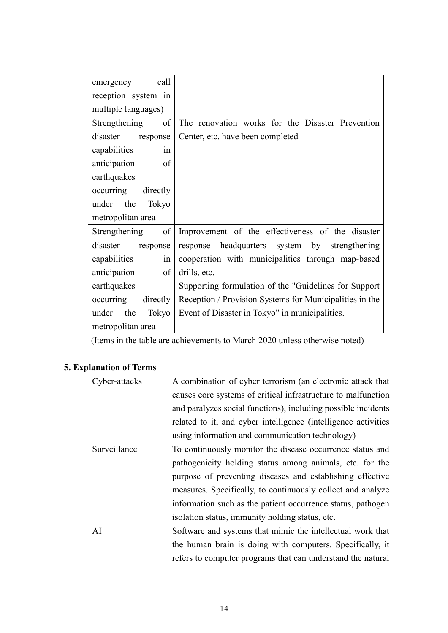| call<br>emergency     |                                                         |
|-----------------------|---------------------------------------------------------|
| reception system in   |                                                         |
| multiple languages)   |                                                         |
| Strengthening of      | The renovation works for the Disaster Prevention        |
| disaster<br>response  | Center, etc. have been completed                        |
| capabilities<br>in    |                                                         |
| of<br>anticipation    |                                                         |
| earthquakes           |                                                         |
| occurring<br>directly |                                                         |
| under the<br>Tokyo    |                                                         |
| metropolitan area     |                                                         |
| of<br>Strengthening   | Improvement of the effectiveness of the disaster        |
| disaster<br>response  | response headquarters system by strengthening           |
| capabilities<br>in    | cooperation with municipalities through map-based       |
| anticipation<br>of    | drills, etc.                                            |
| earthquakes           | Supporting formulation of the "Guidelines for Support   |
| occurring directly    | Reception / Provision Systems for Municipalities in the |
| under<br>the<br>Tokyo | Event of Disaster in Tokyo" in municipalities.          |
| metropolitan area     |                                                         |

(Items in the table are achievements to March 2020 unless otherwise noted)

# **5. Explanation of Terms**

| Cyber-attacks | A combination of cyber terrorism (an electronic attack that    |
|---------------|----------------------------------------------------------------|
|               | causes core systems of critical infrastructure to malfunction  |
|               | and paralyzes social functions), including possible incidents  |
|               | related to it, and cyber intelligence (intelligence activities |
|               | using information and communication technology)                |
| Surveillance  | To continuously monitor the disease occurrence status and      |
|               | pathogenicity holding status among animals, etc. for the       |
|               | purpose of preventing diseases and establishing effective      |
|               | measures. Specifically, to continuously collect and analyze    |
|               | information such as the patient occurrence status, pathogen    |
|               | isolation status, immunity holding status, etc.                |
| AI            | Software and systems that mimic the intellectual work that     |
|               | the human brain is doing with computers. Specifically, it      |
|               | refers to computer programs that can understand the natural    |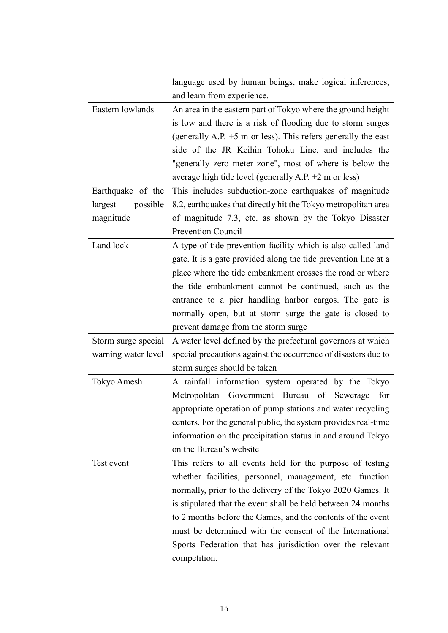|                     | language used by human beings, make logical inferences,         |
|---------------------|-----------------------------------------------------------------|
|                     | and learn from experience.                                      |
| Eastern lowlands    | An area in the eastern part of Tokyo where the ground height    |
|                     | is low and there is a risk of flooding due to storm surges      |
|                     | (generally A.P. $+5$ m or less). This refers generally the east |
|                     | side of the JR Keihin Tohoku Line, and includes the             |
|                     | "generally zero meter zone", most of where is below the         |
|                     | average high tide level (generally A.P. $+2$ m or less)         |
| Earthquake of the   | This includes subduction-zone earthquakes of magnitude          |
| largest<br>possible | 8.2, earthquakes that directly hit the Tokyo metropolitan area  |
| magnitude           | of magnitude 7.3, etc. as shown by the Tokyo Disaster           |
|                     | <b>Prevention Council</b>                                       |
| Land lock           | A type of tide prevention facility which is also called land    |
|                     | gate. It is a gate provided along the tide prevention line at a |
|                     | place where the tide embankment crosses the road or where       |
|                     | the tide embankment cannot be continued, such as the            |
|                     | entrance to a pier handling harbor cargos. The gate is          |
|                     | normally open, but at storm surge the gate is closed to         |
|                     | prevent damage from the storm surge                             |
| Storm surge special | A water level defined by the prefectural governors at which     |
| warning water level | special precautions against the occurrence of disasters due to  |
|                     | storm surges should be taken                                    |
| Tokyo Amesh         | A rainfall information system operated by the Tokyo             |
|                     | Metropolitan Government Bureau<br>of Sewerage<br>for            |
|                     | appropriate operation of pump stations and water recycling      |
|                     | centers. For the general public, the system provides real-time  |
|                     | information on the precipitation status in and around Tokyo     |
|                     | on the Bureau's website                                         |
| Test event          | This refers to all events held for the purpose of testing       |
|                     | whether facilities, personnel, management, etc. function        |
|                     | normally, prior to the delivery of the Tokyo 2020 Games. It     |
|                     | is stipulated that the event shall be held between 24 months    |
|                     | to 2 months before the Games, and the contents of the event     |
|                     | must be determined with the consent of the International        |
|                     | Sports Federation that has jurisdiction over the relevant       |
|                     | competition.                                                    |